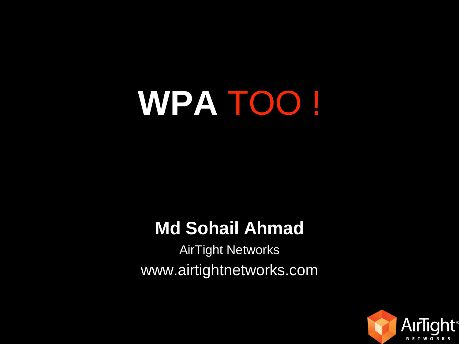# **WPA** TOO !

## **Md Sohail Ahmad**

AirTight Networks www.airtightnetworks.com

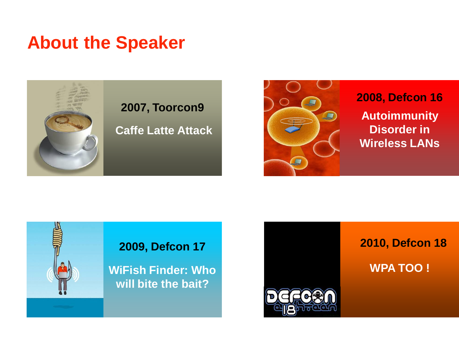## **About the Speaker**





**2008, Defcon 16 Autoimmunity Disorder in Wireless LANs**



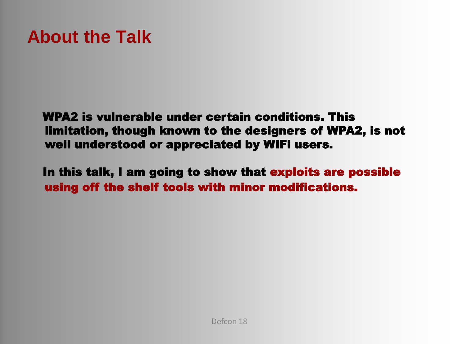# **About the Talk**

WPA2 is vulnerable under certain conditions. This limitation, though known to the designers of WPA2, is not well understood or appreciated by WiFi users.

In this talk, I am going to show that exploits are possible using off the shelf tools with minor modifications.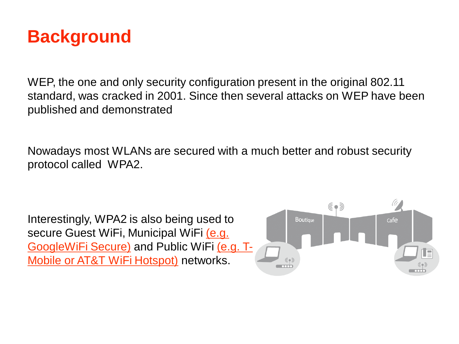## **Background**

WEP, the one and only security configuration present in the original 802.11 standard, was cracked in 2001. Since then several attacks on WEP have been published and demonstrated

Nowadays most WLANs are secured with a much better and robust security protocol called WPA2.

Interestingly, WPA2 is also being used to secure Guest WiFi, Municipal WiFi (e.g. GoogleWiFi Secure) and Public WiFi (e.g. T-Mobile or AT&T WiFi Hotspot) networks.

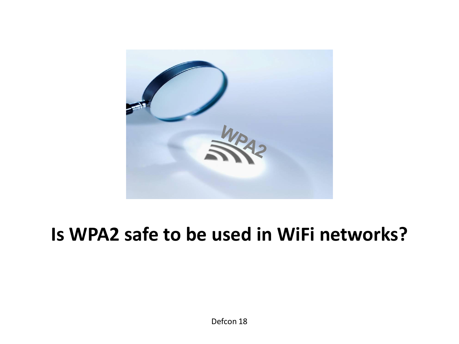

# **Is WPA2 safe to be used in WiFi networks?**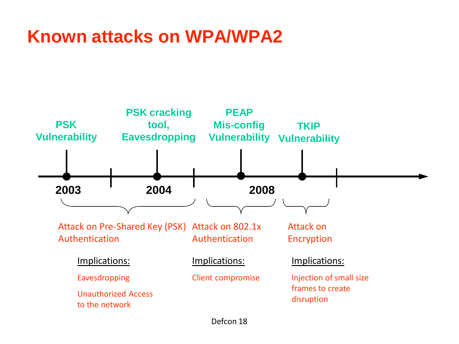# **Known attacks on WPA/WPA2**

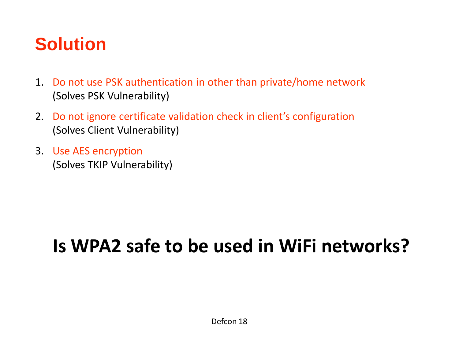# **Solution**

- 1. Do not use PSK authentication in other than private/home network (Solves PSK Vulnerability)
- 2. Do not ignore certificate validation check in client's configuration (Solves Client Vulnerability)
- 3. Use AES encryption (Solves TKIP Vulnerability)

# **Is WPA2 safe to be used in WiFi networks?**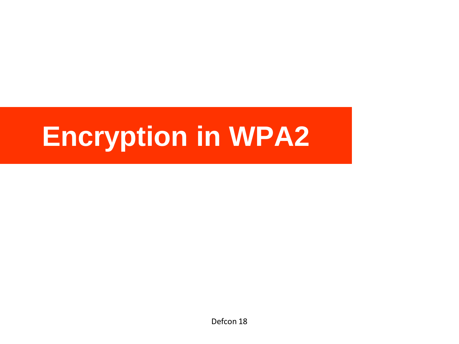# **Encryption in WPA2**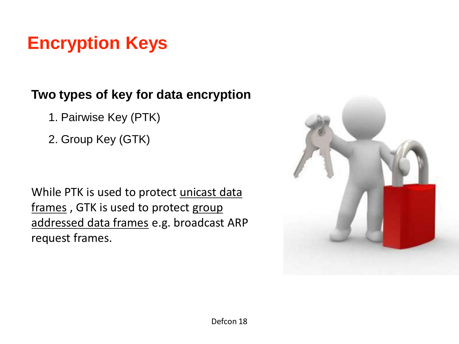# **Encryption Keys**

### **Two types of key for data encryption**

- 1. Pairwise Key (PTK)
- 2. Group Key (GTK)

While PTK is used to protect unicast data frames, GTK is used to protect group addressed data frames e.g. broadcast ARP request frames.

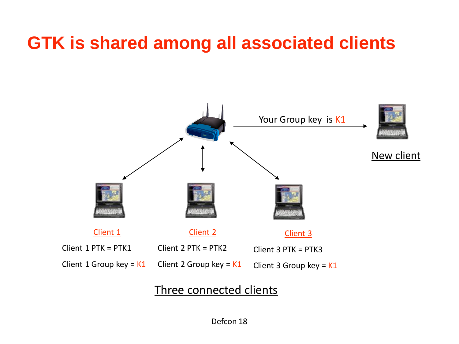# **GTK is shared among all associated clients**



### Three connected clients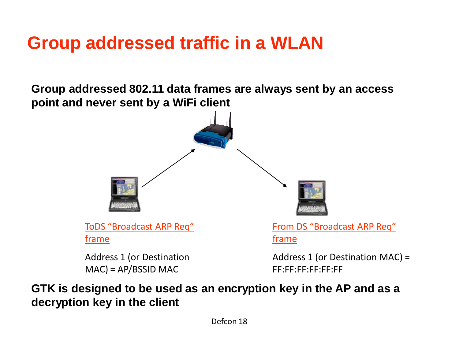# **Group addressed traffic in a WLAN**

**Group addressed 802.11 data frames are always sent by an access point and never sent by a WiFi client**



MAC) = AP/BSSID MAC

From DS "Broadcast ARP Req"

Address 1 (or Destination MAC) = FF:FF:FF:FF:FF:FF

### **GTK is designed to be used as an encryption key in the AP and as a decryption key in the client**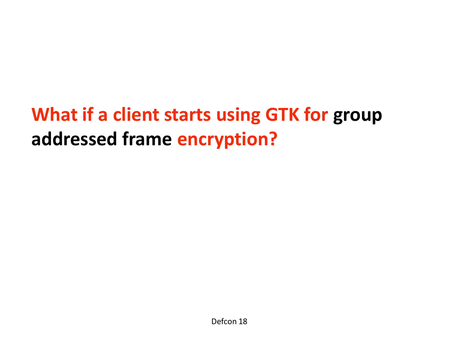# **What if a client starts using GTK for group addressed frame encryption?**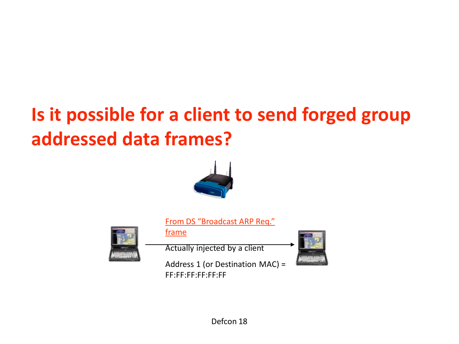# **Is it possible for a client to send forged group addressed data frames?**



From DS "Broadcast ARP Req."



frame

Actually injected by a client

Address 1 (or Destination MAC) = FF:FF:FF:FF:FF:FF

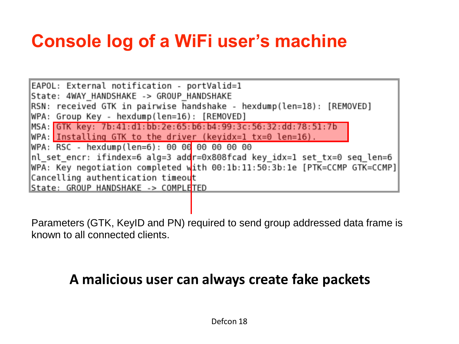# **Console log of a WiFi user's machine**

EAPOL: External notification - portValid=1 State: 4WAY HANDSHAKE -> GROUP HANDSHAKE RSN: received GTK in pairwise handshake - hexdump(len=18): [REMOVED] WPA: Group Key - hexdump(len=16): [REMOVED] MSA: GTK key: 7b:41:d1:bb:2e:65:b6:b4:99:3c:56:32:dd:78:51:7b WPA: Installing GTK to the driver (keyidx=1  $tx=0$  len=16). WPA: RSC - hexdump(len=6): 00 00 00 00 00 00 nl\_set\_encr: ifindex=6 alg=3 addr=0x808fcad key\_idx=1 set\_tx=0 seq\_len=6 WPA: Key negotiation completed with 00:1b:11:50:3b:1e [PTK=CCMP GTK=CCMP] Cancelling authentication timeout |State: GROUP HANDSHAKE -> COMPLE<mark>TED</mark>

Parameters (GTK, KeyID and PN) required to send group addressed data frame is known to all connected clients.

### **A malicious user can always create fake packets**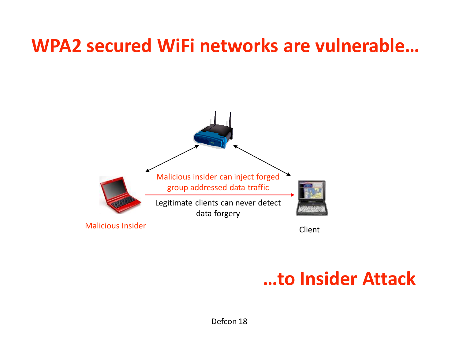# **WPA2 secured WiFi networks are vulnerable…**



### **…to Insider Attack**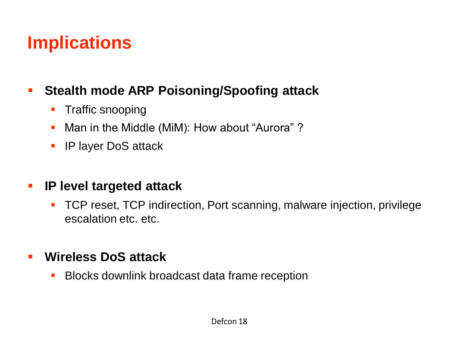# **Implications**

### **Stealth mode ARP Poisoning/Spoofing attack**

- **Traffic snooping**
- **Man in the Middle (MiM): How about "Aurora" ?**
- **IF layer DoS attack**

### **IP level targeted attack**

 TCP reset, TCP indirection, Port scanning, malware injection, privilege escalation etc. etc.

### **Wireless DoS attack**

**Blocks downlink broadcast data frame reception**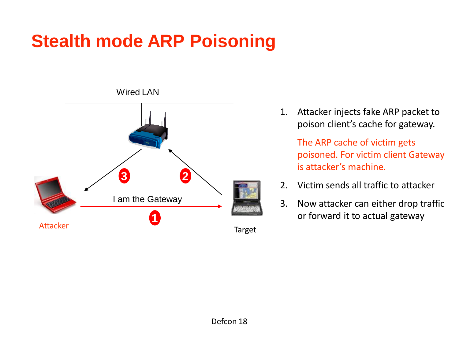# **Stealth mode ARP Poisoning**



1. Attacker injects fake ARP packet to poison client's cache for gateway.

> The ARP cache of victim gets poisoned. For victim client Gateway is attacker's machine.

- 2. Victim sends all traffic to attacker
- 3. Now attacker can either drop traffic **1** or forward it to actual gateway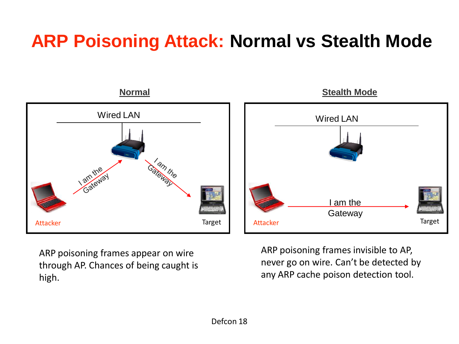# **ARP Poisoning Attack: Normal vs Stealth Mode**



ARP poisoning frames appear on wire through AP. Chances of being caught is high.

ARP poisoning frames invisible to AP, never go on wire. Can't be detected by any ARP cache poison detection tool.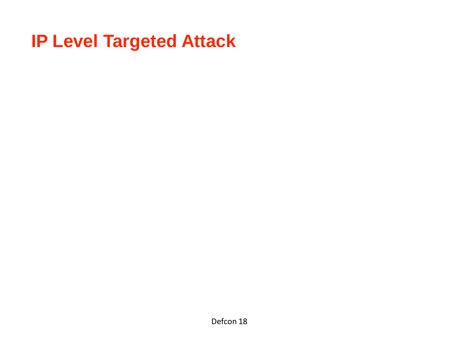# **IP Level Targeted Attack**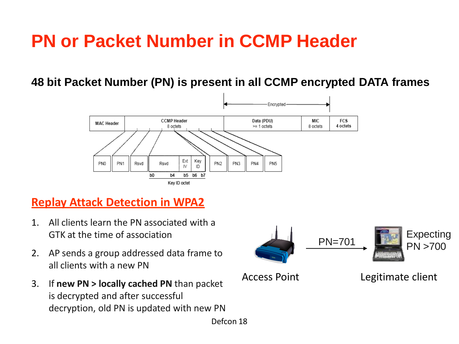# **PN or Packet Number in CCMP Header**

**48 bit Packet Number (PN) is present in all CCMP encrypted DATA frames**



### **Replay Attack Detection in WPA2**

- 1. All clients learn the PN associated with a GTK at the time of association
- 2. AP sends a group addressed data frame to all clients with a new PN
- 3. If **new PN > locally cached PN** than packet is decrypted and after successful decryption, old PN is updated with new PN

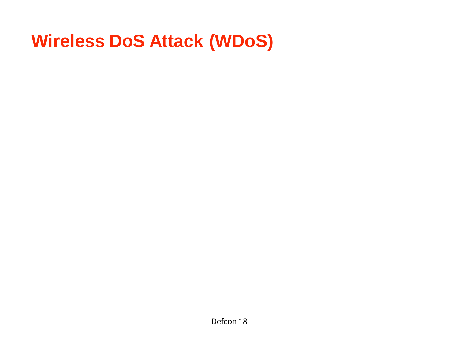# **Wireless DoS Attack (WDoS)**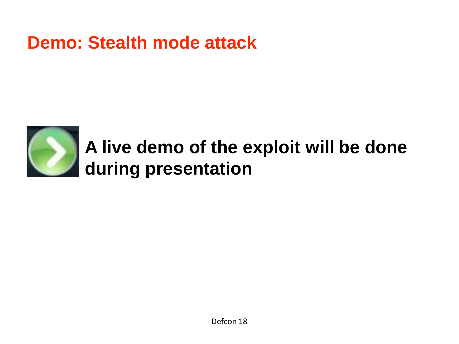### **Demo: Stealth mode attack**



# **A live demo of the exploit will be done during presentation**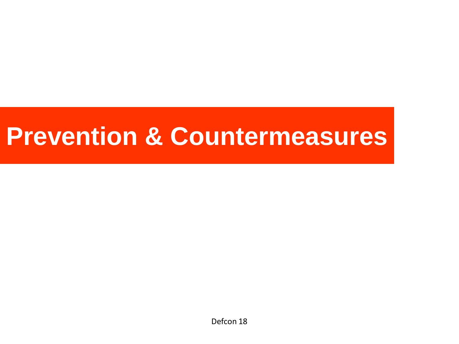# **Prevention & Countermeasures**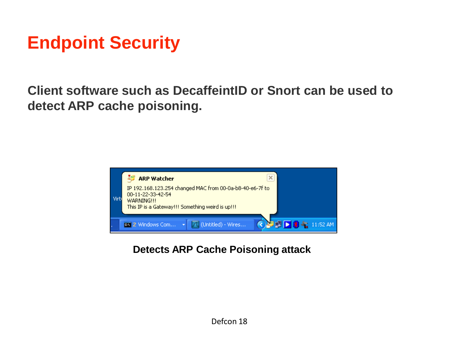# **Endpoint Security**

**Client software such as DecaffeintID or Snort can be used to detect ARP cache poisoning.**



**Detects ARP Cache Poisoning attack**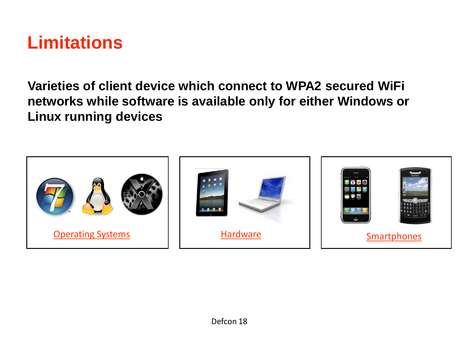

**Varieties of client device which connect to WPA2 secured WiFi networks while software is available only for either Windows or Linux running devices**

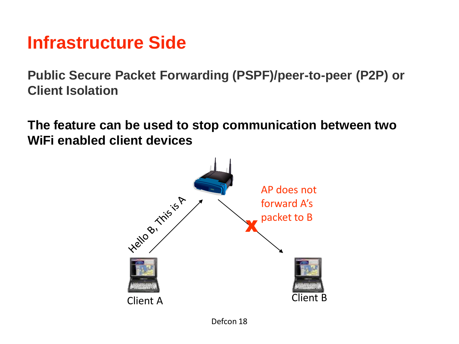### **Infrastructure Side**

**Public Secure Packet Forwarding (PSPF)/peer-to-peer (P2P) or Client Isolation**

**The feature can be used to stop communication between two WiFi enabled client devices**

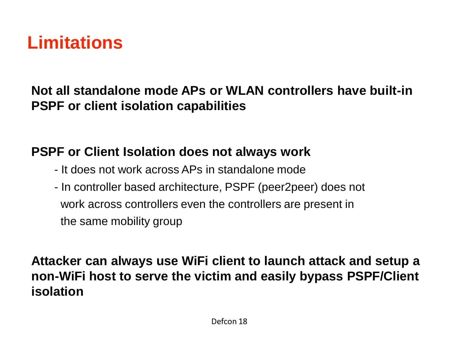# **Limitations**

### **Not all standalone mode APs or WLAN controllers have built-in PSPF or client isolation capabilities**

### **PSPF or Client Isolation does not always work**

- It does not work across APs in standalone mode
- In controller based architecture, PSPF (peer2peer) does not work across controllers even the controllers are present in the same mobility group

**Attacker can always use WiFi client to launch attack and setup a non-WiFi host to serve the victim and easily bypass PSPF/Client isolation**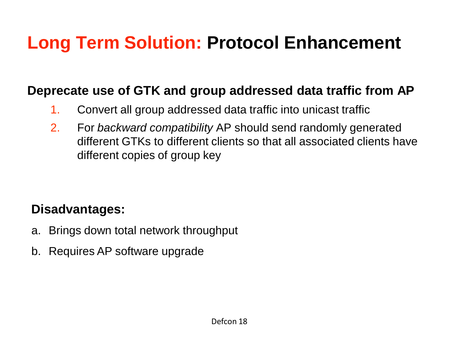# **Long Term Solution: Protocol Enhancement**

### **Deprecate use of GTK and group addressed data traffic from AP**

- 1. Convert all group addressed data traffic into unicast traffic
- 2. For *backward compatibility* AP should send randomly generated different GTKs to different clients so that all associated clients have different copies of group key

### **Disadvantages:**

- a. Brings down total network throughput
- b. Requires AP software upgrade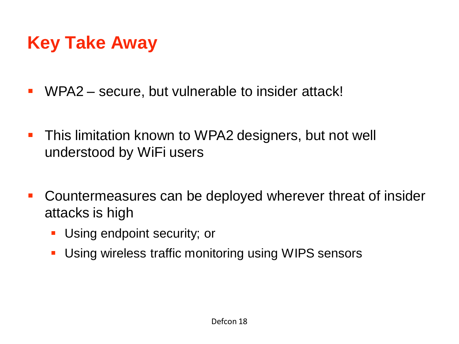# **Key Take Away**

- WPA2 secure, but vulnerable to insider attack!
- **This limitation known to WPA2 designers, but not well** understood by WiFi users
- Countermeasures can be deployed wherever threat of insider attacks is high
	- **Using endpoint security; or**
	- **Using wireless traffic monitoring using WIPS sensors**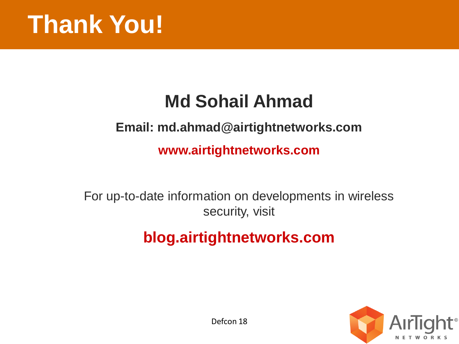

# **Md Sohail Ahmad**

### **Email: md.ahmad@airtightnetworks.com**

**www.airtightnetworks.com**

For up-to-date information on developments in wireless security, visit

### **blog.airtightnetworks.com**

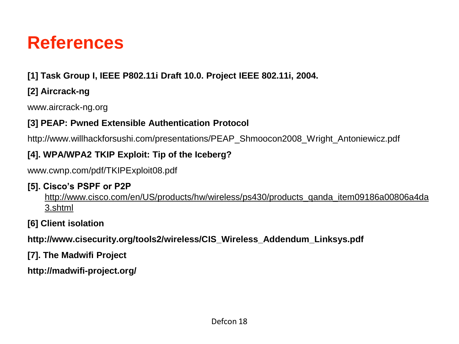### **References**

### **[1] Task Group I, IEEE P802.11i Draft 10.0. Project IEEE 802.11i, 2004.**

### **[2] Aircrack-ng**

www.aircrack-ng.org

### **[3] PEAP: Pwned Extensible Authentication Protocol**

http://www.willhackforsushi.com/presentations/PEAP\_Shmoocon2008\_Wright\_Antoniewicz.pdf

### **[4]. WPA/WPA2 TKIP Exploit: Tip of the Iceberg?**

www.cwnp.com/pdf/TKIPExploit08.pdf

#### **[5]. Cisco's PSPF or P2P**

http://www.cisco.com/en/US/products/hw/wireless/ps430/products\_qanda\_item09186a00806a4da 3.shtml

#### **[6] Client isolation**

**http://www.cisecurity.org/tools2/wireless/CIS\_Wireless\_Addendum\_Linksys.pdf**

**[7]. The Madwifi Project**

**http://madwifi-project.org/**